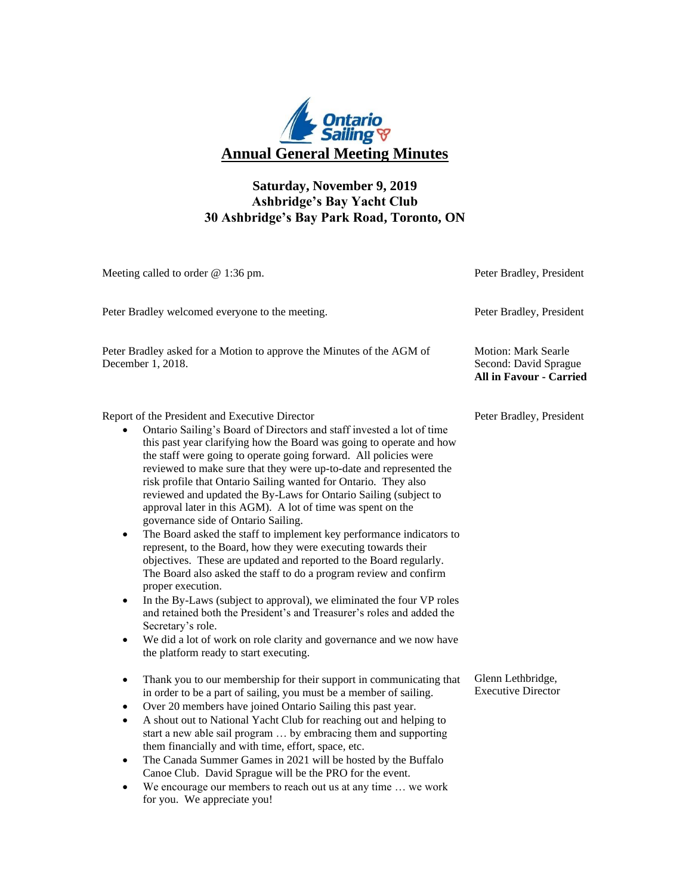

## **Saturday, November 9, 2019 Ashbridge's Bay Yacht Club 30 Ashbridge's Bay Park Road, Toronto, ON**

| Meeting called to order @ 1:36 pm.                                                                                                                                                                                                                                                                                                                                                                                                                                                                                                                                                                                                                                                                                                                                                                                                                                                                                                                                                                                                                                                                                                                                                                                               | Peter Bradley, President                                                              |
|----------------------------------------------------------------------------------------------------------------------------------------------------------------------------------------------------------------------------------------------------------------------------------------------------------------------------------------------------------------------------------------------------------------------------------------------------------------------------------------------------------------------------------------------------------------------------------------------------------------------------------------------------------------------------------------------------------------------------------------------------------------------------------------------------------------------------------------------------------------------------------------------------------------------------------------------------------------------------------------------------------------------------------------------------------------------------------------------------------------------------------------------------------------------------------------------------------------------------------|---------------------------------------------------------------------------------------|
| Peter Bradley welcomed everyone to the meeting.                                                                                                                                                                                                                                                                                                                                                                                                                                                                                                                                                                                                                                                                                                                                                                                                                                                                                                                                                                                                                                                                                                                                                                                  | Peter Bradley, President                                                              |
| Peter Bradley asked for a Motion to approve the Minutes of the AGM of<br>December 1, 2018.                                                                                                                                                                                                                                                                                                                                                                                                                                                                                                                                                                                                                                                                                                                                                                                                                                                                                                                                                                                                                                                                                                                                       | <b>Motion: Mark Searle</b><br>Second: David Sprague<br><b>All in Favour - Carried</b> |
| Report of the President and Executive Director<br>Ontario Sailing's Board of Directors and staff invested a lot of time<br>this past year clarifying how the Board was going to operate and how<br>the staff were going to operate going forward. All policies were<br>reviewed to make sure that they were up-to-date and represented the<br>risk profile that Ontario Sailing wanted for Ontario. They also<br>reviewed and updated the By-Laws for Ontario Sailing (subject to<br>approval later in this AGM). A lot of time was spent on the<br>governance side of Ontario Sailing.<br>The Board asked the staff to implement key performance indicators to<br>$\bullet$<br>represent, to the Board, how they were executing towards their<br>objectives. These are updated and reported to the Board regularly.<br>The Board also asked the staff to do a program review and confirm<br>proper execution.<br>In the By-Laws (subject to approval), we eliminated the four VP roles<br>$\bullet$<br>and retained both the President's and Treasurer's roles and added the<br>Secretary's role.<br>We did a lot of work on role clarity and governance and we now have<br>$\bullet$<br>the platform ready to start executing. | Peter Bradley, President                                                              |
| Thank you to our membership for their support in communicating that<br>$\bullet$<br>in order to be a part of sailing, you must be a member of sailing.<br>Over 20 members have joined Ontario Sailing this past year.<br>$\bullet$<br>A shout out to National Yacht Club for reaching out and helping to<br>$\bullet$<br>start a new able sail program  by embracing them and supporting<br>them financially and with time, effort, space, etc.<br>The Canada Summer Games in 2021 will be hosted by the Buffalo<br>٠<br>Canoe Club. David Sprague will be the PRO for the event.<br>We encourage our members to reach out us at any time  we work<br>$\bullet$<br>for you. We appreciate you!                                                                                                                                                                                                                                                                                                                                                                                                                                                                                                                                   | Glenn Lethbridge,<br><b>Executive Director</b>                                        |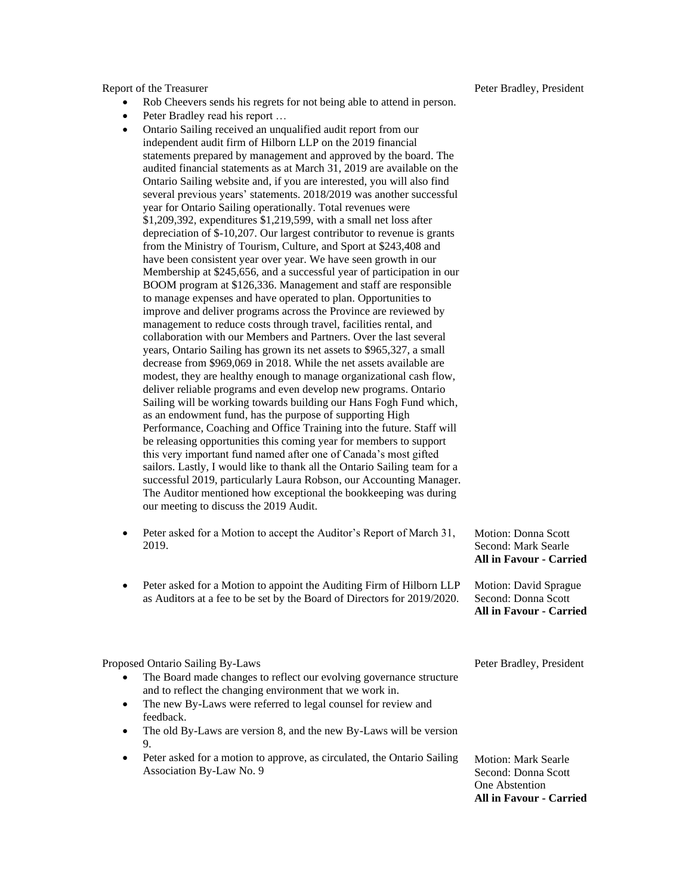Report of the Treasurer

- Rob Cheevers sends his regrets for not being able to attend in person.
- Peter Bradley read his report ...
- Ontario Sailing received an unqualified audit report from our independent audit firm of Hilborn LLP on the 2019 financial statements prepared by management and approved by the board. The audited financial statements as at March 31, 2019 are available on the Ontario Sailing website and, if you are interested, you will also find several previous years' statements. 2018/2019 was another successful year for Ontario Sailing operationally. Total revenues were \$1,209,392, expenditures \$1,219,599, with a small net loss after depreciation of \$-10,207. Our largest contributor to revenue is grants from the Ministry of Tourism, Culture, and Sport at \$243,408 and have been consistent year over year. We have seen growth in our Membership at \$245,656, and a successful year of participation in our BOOM program at \$126,336. Management and staff are responsible to manage expenses and have operated to plan. Opportunities to improve and deliver programs across the Province are reviewed by management to reduce costs through travel, facilities rental, and collaboration with our Members and Partners. Over the last several years, Ontario Sailing has grown its net assets to \$965,327, a small decrease from \$969,069 in 2018. While the net assets available are modest, they are healthy enough to manage organizational cash flow, deliver reliable programs and even develop new programs. Ontario Sailing will be working towards building our Hans Fogh Fund which, as an endowment fund, has the purpose of supporting High Performance, Coaching and Office Training into the future. Staff will be releasing opportunities this coming year for members to support this very important fund named after one of Canada's most gifted sailors. Lastly, I would like to thank all the Ontario Sailing team for a successful 2019, particularly Laura Robson, our Accounting Manager. The Auditor mentioned how exceptional the bookkeeping was during our meeting to discuss the 2019 Audit.
- Peter asked for a Motion to accept the Auditor's Report of March 31, 2019.
- Peter asked for a Motion to appoint the Auditing Firm of Hilborn LLP as Auditors at a fee to be set by the Board of Directors for 2019/2020.

Motion: Donna Scott Second: Mark Searle **All in Favour - Carried**

Motion: David Sprague Second: Donna Scott **All in Favour - Carried**

Proposed Ontario Sailing By-Laws

- The Board made changes to reflect our evolving governance structure and to reflect the changing environment that we work in.
- The new By-Laws were referred to legal counsel for review and feedback.
- The old By-Laws are version 8, and the new By-Laws will be version 9.
- Peter asked for a motion to approve, as circulated, the Ontario Sailing Association By-Law No. 9

Peter Bradley, President

Motion: Mark Searle Second: Donna Scott One Abstention **All in Favour - Carried**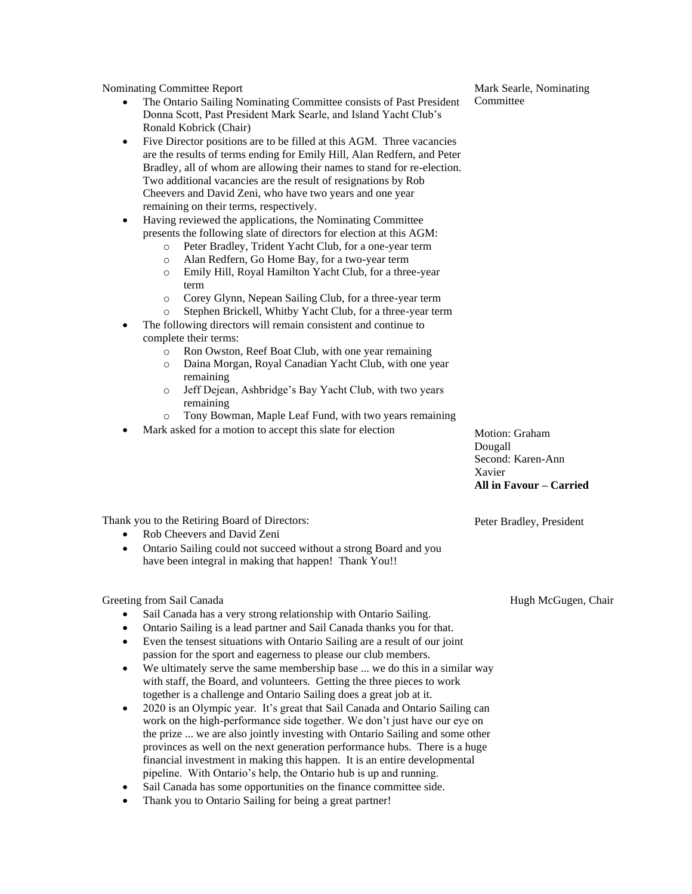Nominating Committee Report

- The Ontario Sailing Nominating Committee consists of Past President Donna Scott, Past President Mark Searle, and Island Yacht Club's Ronald Kobrick (Chair)
- Five Director positions are to be filled at this AGM. Three vacancies are the results of terms ending for Emily Hill, Alan Redfern, and Peter Bradley, all of whom are allowing their names to stand for re-election. Two additional vacancies are the result of resignations by Rob Cheevers and David Zeni, who have two years and one year remaining on their terms, respectively.
- Having reviewed the applications, the Nominating Committee presents the following slate of directors for election at this AGM:
	- o Peter Bradley, Trident Yacht Club, for a one-year term
		- o Alan Redfern, Go Home Bay, for a two-year term
		- o Emily Hill, Royal Hamilton Yacht Club, for a three-year term
		- o Corey Glynn, Nepean Sailing Club, for a three-year term
	- o Stephen Brickell, Whitby Yacht Club, for a three-year term
- The following directors will remain consistent and continue to complete their terms:
	- o Ron Owston, Reef Boat Club, with one year remaining
	- o Daina Morgan, Royal Canadian Yacht Club, with one year remaining
	- o Jeff Dejean, Ashbridge's Bay Yacht Club, with two years remaining
	- o Tony Bowman, Maple Leaf Fund, with two years remaining
- Mark asked for a motion to accept this slate for election

Motion: Graham Dougall Second: Karen-Ann Xavier **All in Favour – Carried**

Peter Bradley, President

Thank you to the Retiring Board of Directors:

- Rob Cheevers and David Zeni
- Ontario Sailing could not succeed without a strong Board and you have been integral in making that happen! Thank You!!

Greeting from Sail Canada

- Sail Canada has a very strong relationship with Ontario Sailing.
- Ontario Sailing is a lead partner and Sail Canada thanks you for that.
- Even the tensest situations with Ontario Sailing are a result of our joint passion for the sport and eagerness to please our club members.
- We ultimately serve the same membership base ... we do this in a similar way with staff, the Board, and volunteers. Getting the three pieces to work together is a challenge and Ontario Sailing does a great job at it.
- 2020 is an Olympic year. It's great that Sail Canada and Ontario Sailing can work on the high-performance side together. We don't just have our eye on the prize ... we are also jointly investing with Ontario Sailing and some other provinces as well on the next generation performance hubs. There is a huge financial investment in making this happen. It is an entire developmental pipeline. With Ontario's help, the Ontario hub is up and running.
- Sail Canada has some opportunities on the finance committee side.
- Thank you to Ontario Sailing for being a great partner!

Hugh McGugen, Chair

Mark Searle, Nominating Committee